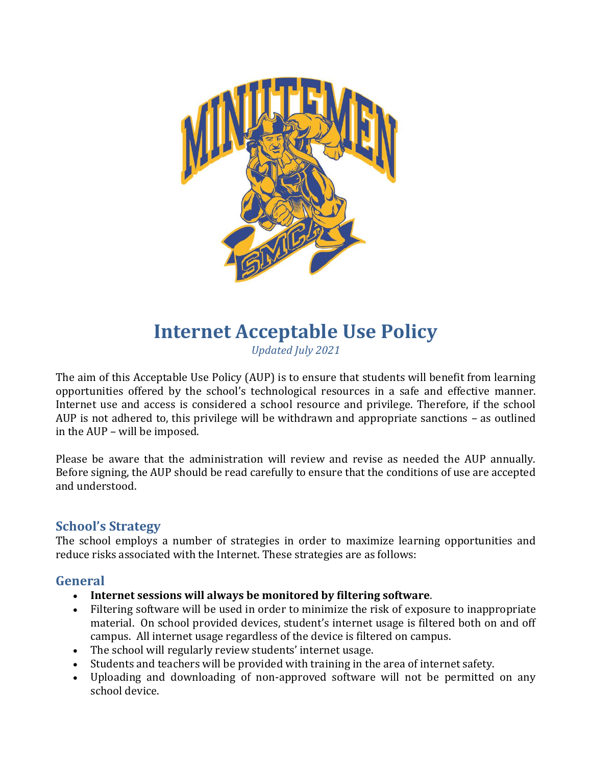

# **Internet Acceptable Use Policy**

*Updated July 2021*

The aim of this Acceptable Use Policy (AUP) is to ensure that students will benefit from learning opportunities offered by the school's technological resources in a safe and effective manner. Internet use and access is considered a school resource and privilege. Therefore, if the school AUP is not adhered to, this privilege will be withdrawn and appropriate sanctions – as outlined in the AUP – will be imposed.

Please be aware that the administration will review and revise as needed the AUP annually. Before signing, the AUP should be read carefully to ensure that the conditions of use are accepted and understood.

## **School's Strategy**

The school employs a number of strategies in order to maximize learning opportunities and reduce risks associated with the Internet. These strategies are as follows:

## **General**

- **Internet sessions will always be monitored by filtering software**.
- Filtering software will be used in order to minimize the risk of exposure to inappropriate material. On school provided devices, student's internet usage is filtered both on and off campus. All internet usage regardless of the device is filtered on campus.
- The school will regularly review students' internet usage.
- Students and teachers will be provided with training in the area of internet safety.
- Uploading and downloading of non-approved software will not be permitted on any school device.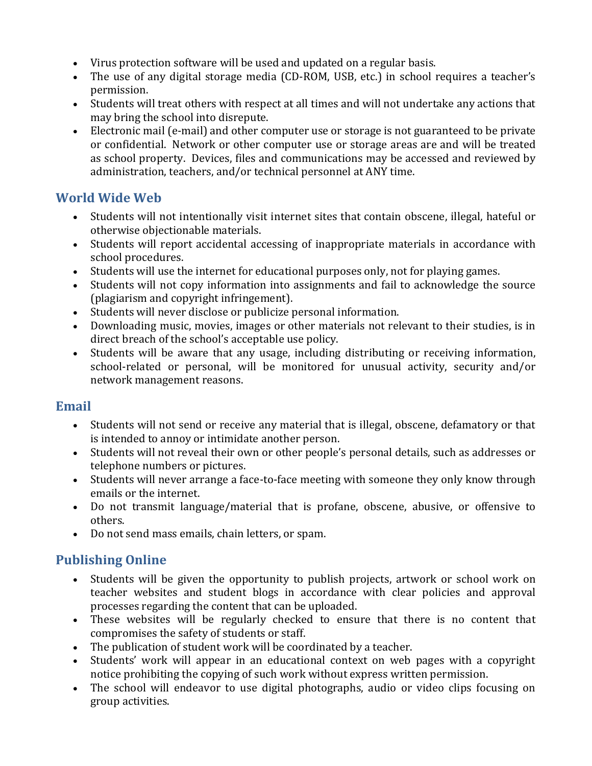- Virus protection software will be used and updated on a regular basis.
- The use of any digital storage media (CD-ROM, USB, etc.) in school requires a teacher's permission.
- Students will treat others with respect at all times and will not undertake any actions that may bring the school into disrepute.
- Electronic mail (e-mail) and other computer use or storage is not guaranteed to be private or confidential. Network or other computer use or storage areas are and will be treated as school property. Devices, files and communications may be accessed and reviewed by administration, teachers, and/or technical personnel at ANY time.

## **World Wide Web**

- Students will not intentionally visit internet sites that contain obscene, illegal, hateful or otherwise objectionable materials.
- Students will report accidental accessing of inappropriate materials in accordance with school procedures.
- Students will use the internet for educational purposes only, not for playing games.
- Students will not copy information into assignments and fail to acknowledge the source (plagiarism and copyright infringement).
- Students will never disclose or publicize personal information.
- Downloading music, movies, images or other materials not relevant to their studies, is in direct breach of the school's acceptable use policy.
- Students will be aware that any usage, including distributing or receiving information, school-related or personal, will be monitored for unusual activity, security and/or network management reasons.

## **Email**

- Students will not send or receive any material that is illegal, obscene, defamatory or that is intended to annoy or intimidate another person.
- Students will not reveal their own or other people's personal details, such as addresses or telephone numbers or pictures.
- Students will never arrange a face-to-face meeting with someone they only know through emails or the internet.
- Do not transmit language/material that is profane, obscene, abusive, or offensive to others.
- Do not send mass emails, chain letters, or spam.

# **Publishing Online**

- Students will be given the opportunity to publish projects, artwork or school work on teacher websites and student blogs in accordance with clear policies and approval processes regarding the content that can be uploaded.
- These websites will be regularly checked to ensure that there is no content that compromises the safety of students or staff.
- The publication of student work will be coordinated by a teacher.
- Students' work will appear in an educational context on web pages with a copyright notice prohibiting the copying of such work without express written permission.
- The school will endeavor to use digital photographs, audio or video clips focusing on group activities.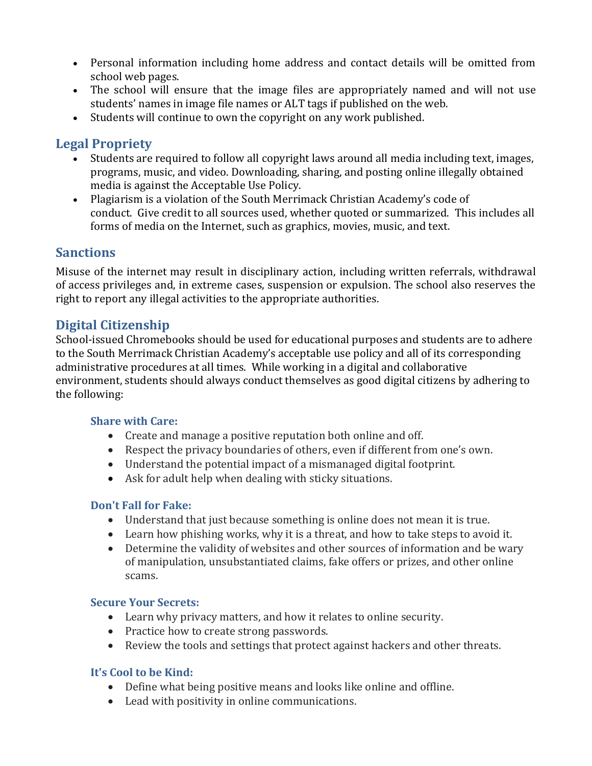- Personal information including home address and contact details will be omitted from school web pages.
- The school will ensure that the image files are appropriately named and will not use students' names in image file names or ALT tags if published on the web.
- Students will continue to own the copyright on any work published.

## **Legal Propriety**

- Students are required to follow all copyright laws around all media including text, images, programs, music, and video. Downloading, sharing, and posting online illegally obtained media is against the Acceptable Use Policy.
- Plagiarism is a violation of the South Merrimack Christian Academy's code of conduct. Give credit to all sources used, whether quoted or summarized. This includes all forms of media on the Internet, such as graphics, movies, music, and text.

## **Sanctions**

Misuse of the internet may result in disciplinary action, including written referrals, withdrawal of access privileges and, in extreme cases, suspension or expulsion. The school also reserves the right to report any illegal activities to the appropriate authorities.

## **Digital Citizenship**

School-issued Chromebooks should be used for educational purposes and students are to adhere to the South Merrimack Christian Academy's acceptable use policy and all of its corresponding administrative procedures at all times. While working in a digital and collaborative environment, students should always conduct themselves as good digital citizens by adhering to the following:

### **Share with Care:**

- Create and manage a positive reputation both online and off.
- Respect the privacy boundaries of others, even if different from one's own.
- Understand the potential impact of a mismanaged digital footprint.
- Ask for adult help when dealing with sticky situations.

### **Don't Fall for Fake:**

- Understand that just because something is online does not mean it is true.
- Learn how phishing works, why it is a threat, and how to take steps to avoid it.
- Determine the validity of websites and other sources of information and be wary of manipulation, unsubstantiated claims, fake offers or prizes, and other online scams.

#### **Secure Your Secrets:**

- Learn why privacy matters, and how it relates to online security.
- Practice how to create strong passwords.
- Review the tools and settings that protect against hackers and other threats.

### **It's Cool to be Kind:**

- Define what being positive means and looks like online and offline.
- Lead with positivity in online communications.